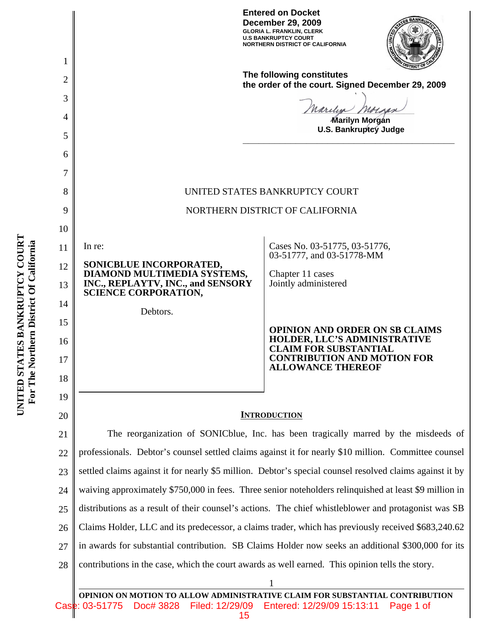**Entered on Docket December 29, 2009 GLORIA L. FRANKLIN, CLERK U.S BANKRUPTCY COURT NORTHERN DISTRICT OF CALIFORNIA**



**The following constitutes the order of the court. Signed December 29, 2009**

**\_\_\_\_\_\_\_\_\_\_\_\_\_\_\_\_\_\_\_\_\_\_\_\_\_\_\_\_\_\_\_\_\_\_\_\_\_\_\_\_**

arclyn nor

**Marilyn Morgan U.S. Bankruptcy Judge**

## UNITED STATES BANKRUPTCY COURT

#### NORTHERN DISTRICT OF CALIFORNIA

In re:

1

2

3

4

5

6

7

8

9

10

11

12

13

14

15

16

17

18

19

20

**SONICBLUE INCORPORATED, DIAMOND MULTIMEDIA SYSTEMS, INC., REPLAYTV, INC., and SENSORY SCIENCE CORPORATION,**

Debtors.

Cases No. 03-51775, 03-51776, 03-51777, and 03-51778-MM

Chapter 11 cases Jointly administered

**OPINION AND ORDER ON SB CLAIMS HOLDER, LLC'S ADMINISTRATIVE CLAIM FOR SUBSTANTIAL CONTRIBUTION AND MOTION FOR ALLOWANCE THEREOF**

#### **INTRODUCTION**

21 22 23 24 25 26 27 28 The reorganization of SONICblue, Inc. has been tragically marred by the misdeeds of professionals. Debtor's counsel settled claims against it for nearly \$10 million. Committee counsel settled claims against it for nearly \$5 million. Debtor's special counsel resolved claims against it by waiving approximately \$750,000 in fees. Three senior noteholders relinquished at least \$9 million in distributions as a result of their counsel's actions. The chief whistleblower and protagonist was SB Claims Holder, LLC and its predecessor, a claims trader, which has previously received \$683,240.62 in awards for substantial contribution. SB Claims Holder now seeks an additional \$300,000 for its contributions in the case, which the court awards as well earned. This opinion tells the story.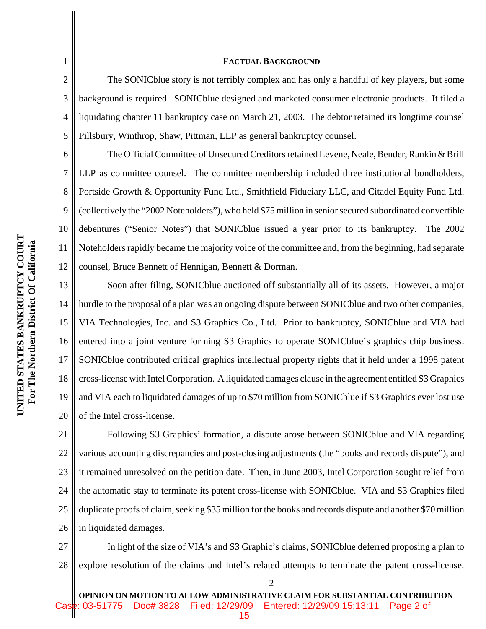### **FACTUAL BACKGROUND**

The SONICblue story is not terribly complex and has only a handful of key players, but some background is required. SONICblue designed and marketed consumer electronic products. It filed a liquidating chapter 11 bankruptcy case on March 21, 2003. The debtor retained its longtime counsel Pillsbury, Winthrop, Shaw, Pittman, LLP as general bankruptcy counsel.

The Official Committee of Unsecured Creditors retained Levene, Neale, Bender, Rankin & Brill LLP as committee counsel. The committee membership included three institutional bondholders, Portside Growth & Opportunity Fund Ltd., Smithfield Fiduciary LLC, and Citadel Equity Fund Ltd. (collectively the "2002 Noteholders"), who held \$75 million in senior secured subordinated convertible debentures ("Senior Notes") that SONICblue issued a year prior to its bankruptcy. The 2002 Noteholders rapidly became the majority voice of the committee and, from the beginning, had separate counsel, Bruce Bennett of Hennigan, Bennett & Dorman.

13 14 15 16 17 18 19 20 Soon after filing, SONICblue auctioned off substantially all of its assets. However, a major hurdle to the proposal of a plan was an ongoing dispute between SONICblue and two other companies, VIA Technologies, Inc. and S3 Graphics Co., Ltd. Prior to bankruptcy, SONICblue and VIA had entered into a joint venture forming S3 Graphics to operate SONICblue's graphics chip business. SONICblue contributed critical graphics intellectual property rights that it held under a 1998 patent cross-license with Intel Corporation. A liquidated damages clause in the agreement entitled S3 Graphics and VIA each to liquidated damages of up to \$70 million from SONICblue if S3 Graphics ever lost use of the Intel cross-license.

21 22 23 24 25 26 Following S3 Graphics' formation, a dispute arose between SONICblue and VIA regarding various accounting discrepancies and post-closing adjustments (the "books and records dispute"), and it remained unresolved on the petition date. Then, in June 2003, Intel Corporation sought relief from the automatic stay to terminate its patent cross-license with SONICblue. VIA and S3 Graphics filed duplicate proofs of claim, seeking \$35 million for the books and records dispute and another \$70 million in liquidated damages.

27 28 In light of the size of VIA's and S3 Graphic's claims, SONICblue deferred proposing a plan to explore resolution of the claims and Intel's related attempts to terminate the patent cross-license.

2

1

2

3

4

5

6

7

8

9

10

11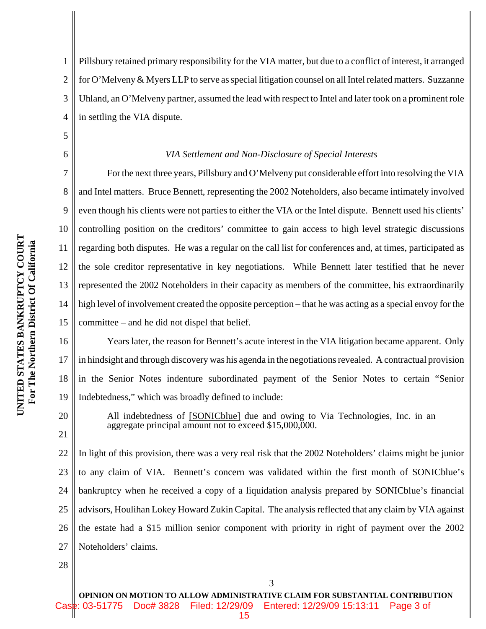5

6

7

8

9

10

11

12

13

14

15

20

21

1 2 3 4 Pillsbury retained primary responsibility for the VIA matter, but due to a conflict of interest, it arranged for O'Melveny & Myers LLP to serve as special litigation counsel on all Intel related matters. Suzzanne Uhland, an O'Melveny partner, assumed the lead with respect to Intel and later took on a prominent role in settling the VIA dispute.

#### *VIA Settlement and Non-Disclosure of Special Interests*

For the next three years, Pillsbury and O'Melveny put considerable effort into resolving the VIA and Intel matters. Bruce Bennett, representing the 2002 Noteholders, also became intimately involved even though his clients were not parties to either the VIA or the Intel dispute. Bennett used his clients' controlling position on the creditors' committee to gain access to high level strategic discussions regarding both disputes. He was a regular on the call list for conferences and, at times, participated as the sole creditor representative in key negotiations. While Bennett later testified that he never represented the 2002 Noteholders in their capacity as members of the committee, his extraordinarily high level of involvement created the opposite perception – that he was acting as a special envoy for the committee – and he did not dispel that belief.

16 17 18 19 Years later, the reason for Bennett's acute interest in the VIA litigation became apparent. Only in hindsight and through discovery was his agenda in the negotiations revealed. A contractual provision in the Senior Notes indenture subordinated payment of the Senior Notes to certain "Senior Indebtedness," which was broadly defined to include:

All indebtedness of [SONICblue] due and owing to Via Technologies, Inc. in an aggregate principal amount not to exceed \$15,000,000.

22 23 24 25 26 27 In light of this provision, there was a very real risk that the 2002 Noteholders' claims might be junior to any claim of VIA. Bennett's concern was validated within the first month of SONICblue's bankruptcy when he received a copy of a liquidation analysis prepared by SONICblue's financial advisors, Houlihan Lokey Howard Zukin Capital. The analysis reflected that any claim by VIA against the estate had a \$15 million senior component with priority in right of payment over the 2002 Noteholders' claims.

28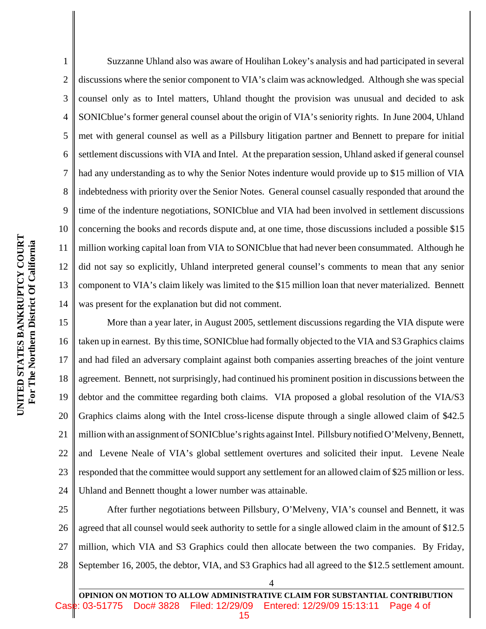1 2 3 4 5 6 7 8 9 10 11 12 13 14 Suzzanne Uhland also was aware of Houlihan Lokey's analysis and had participated in several discussions where the senior component to VIA's claim was acknowledged. Although she was special counsel only as to Intel matters, Uhland thought the provision was unusual and decided to ask SONICblue's former general counsel about the origin of VIA's seniority rights. In June 2004, Uhland met with general counsel as well as a Pillsbury litigation partner and Bennett to prepare for initial settlement discussions with VIA and Intel. At the preparation session, Uhland asked if general counsel had any understanding as to why the Senior Notes indenture would provide up to \$15 million of VIA indebtedness with priority over the Senior Notes. General counsel casually responded that around the time of the indenture negotiations, SONICblue and VIA had been involved in settlement discussions concerning the books and records dispute and, at one time, those discussions included a possible \$15 million working capital loan from VIA to SONICblue that had never been consummated. Although he did not say so explicitly, Uhland interpreted general counsel's comments to mean that any senior component to VIA's claim likely was limited to the \$15 million loan that never materialized. Bennett was present for the explanation but did not comment.

15 16 17 18 19 20 21 22 23 24 More than a year later, in August 2005, settlement discussions regarding the VIA dispute were taken up in earnest. By this time, SONICblue had formally objected to the VIA and S3 Graphics claims and had filed an adversary complaint against both companies asserting breaches of the joint venture agreement. Bennett, not surprisingly, had continued his prominent position in discussions between the debtor and the committee regarding both claims. VIA proposed a global resolution of the VIA/S3 Graphics claims along with the Intel cross-license dispute through a single allowed claim of \$42.5 million with an assignment of SONICblue's rights against Intel. Pillsbury notified O'Melveny, Bennett, and Levene Neale of VIA's global settlement overtures and solicited their input. Levene Neale responded that the committee would support any settlement for an allowed claim of \$25 million or less. Uhland and Bennett thought a lower number was attainable.

25 26 27 28 After further negotiations between Pillsbury, O'Melveny, VIA's counsel and Bennett, it was agreed that all counsel would seek authority to settle for a single allowed claim in the amount of \$12.5 million, which VIA and S3 Graphics could then allocate between the two companies. By Friday, September 16, 2005, the debtor, VIA, and S3 Graphics had all agreed to the \$12.5 settlement amount.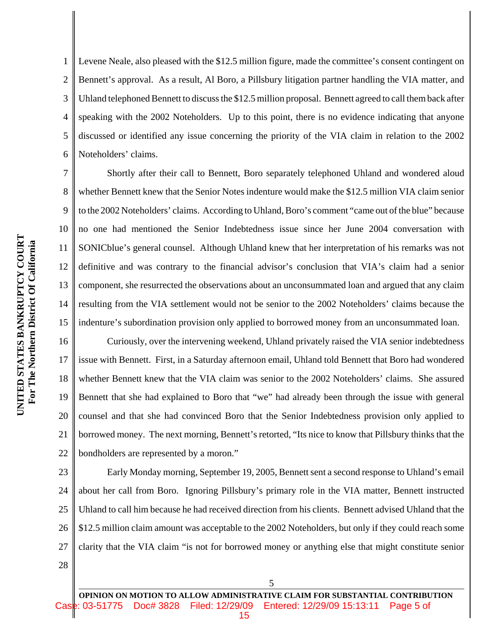7

8

9

10

11

12

13

14

15

1 2 3 4 5 6 Levene Neale, also pleased with the \$12.5 million figure, made the committee's consent contingent on Bennett's approval. As a result, Al Boro, a Pillsbury litigation partner handling the VIA matter, and Uhland telephoned Bennett to discuss the \$12.5 million proposal. Bennett agreed to call them back after speaking with the 2002 Noteholders. Up to this point, there is no evidence indicating that anyone discussed or identified any issue concerning the priority of the VIA claim in relation to the 2002 Noteholders' claims.

Shortly after their call to Bennett, Boro separately telephoned Uhland and wondered aloud whether Bennett knew that the Senior Notes indenture would make the \$12.5 million VIA claim senior to the 2002 Noteholders' claims. According to Uhland, Boro's comment "came out of the blue" because no one had mentioned the Senior Indebtedness issue since her June 2004 conversation with SONICblue's general counsel. Although Uhland knew that her interpretation of his remarks was not definitive and was contrary to the financial advisor's conclusion that VIA's claim had a senior component, she resurrected the observations about an unconsummated loan and argued that any claim resulting from the VIA settlement would not be senior to the 2002 Noteholders' claims because the indenture's subordination provision only applied to borrowed money from an unconsummated loan.

16 17 18 19 20 21 22 Curiously, over the intervening weekend, Uhland privately raised the VIA senior indebtedness issue with Bennett. First, in a Saturday afternoon email, Uhland told Bennett that Boro had wondered whether Bennett knew that the VIA claim was senior to the 2002 Noteholders' claims. She assured Bennett that she had explained to Boro that "we" had already been through the issue with general counsel and that she had convinced Boro that the Senior Indebtedness provision only applied to borrowed money. The next morning, Bennett's retorted, "Its nice to know that Pillsbury thinks that the bondholders are represented by a moron."

23 24 25 26 27 28 Early Monday morning, September 19, 2005, Bennett sent a second response to Uhland's email about her call from Boro. Ignoring Pillsbury's primary role in the VIA matter, Bennett instructed Uhland to call him because he had received direction from his clients. Bennett advised Uhland that the \$12.5 million claim amount was acceptable to the 2002 Noteholders, but only if they could reach some clarity that the VIA claim "is not for borrowed money or anything else that might constitute senior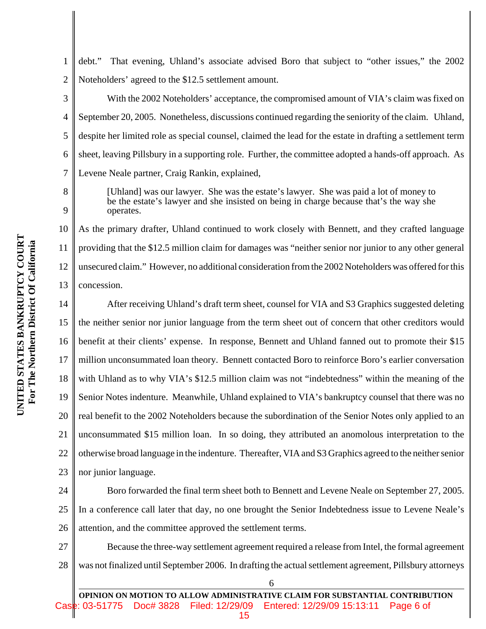2 debt." That evening, Uhland's associate advised Boro that subject to "other issues," the 2002 Noteholders' agreed to the \$12.5 settlement amount.

With the 2002 Noteholders' acceptance, the compromised amount of VIA's claim was fixed on September 20, 2005. Nonetheless, discussions continued regarding the seniority of the claim. Uhland, despite her limited role as special counsel, claimed the lead for the estate in drafting a settlement term sheet, leaving Pillsbury in a supporting role. Further, the committee adopted a hands-off approach. As Levene Neale partner, Craig Rankin, explained,

8 9

1

3

4

5

6

7

[Uhland] was our lawyer. She was the estate's lawyer. She was paid a lot of money to be the estate's lawyer and she insisted on being in charge because that's the way she operates.

10 11 12 13 As the primary drafter, Uhland continued to work closely with Bennett, and they crafted language providing that the \$12.5 million claim for damages was "neither senior nor junior to any other general unsecured claim." However, no additional consideration from the 2002 Noteholders was offered for this concession.

14 15 16 17 18 19 20 21 22 23 After receiving Uhland's draft term sheet, counsel for VIA and S3 Graphics suggested deleting the neither senior nor junior language from the term sheet out of concern that other creditors would benefit at their clients' expense. In response, Bennett and Uhland fanned out to promote their \$15 million unconsummated loan theory. Bennett contacted Boro to reinforce Boro's earlier conversation with Uhland as to why VIA's \$12.5 million claim was not "indebtedness" within the meaning of the Senior Notes indenture. Meanwhile, Uhland explained to VIA's bankruptcy counsel that there was no real benefit to the 2002 Noteholders because the subordination of the Senior Notes only applied to an unconsummated \$15 million loan. In so doing, they attributed an anomolous interpretation to the otherwise broad language in the indenture. Thereafter, VIA and S3 Graphics agreed to the neither senior nor junior language.

24 25 26 Boro forwarded the final term sheet both to Bennett and Levene Neale on September 27, 2005. In a conference call later that day, no one brought the Senior Indebtedness issue to Levene Neale's attention, and the committee approved the settlement terms.

27 28 Because the three-way settlement agreement required a release from Intel, the formal agreement was not finalized until September 2006. In drafting the actual settlement agreement, Pillsbury attorneys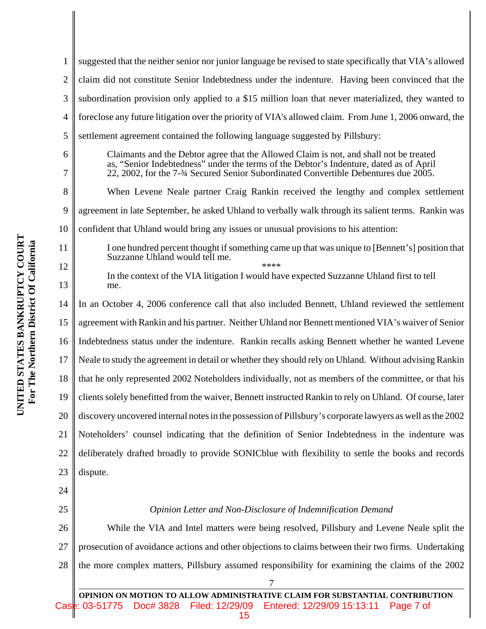suggested that the neither senior nor junior language be revised to state specifically that VIA's allowed 1 2 claim did not constitute Senior Indebtedness under the indenture. Having been convinced that the 3 subordination provision only applied to a \$15 million loan that never materialized, they wanted to foreclose any future litigation over the priority of VIA's allowed claim. From June 1, 2006 onward, the 4 5 settlement agreement contained the following language suggested by Pillsbury: Claimants and the Debtor agree that the Allowed Claim is not, and shall not be treated 6 as, "Senior Indebtedness" under the terms of the Debtor's Indenture, dated as of April 22, 2002, for the 7-¾ Secured Senior Subordinated Convertible Debentures due 2005. 7 8 When Levene Neale partner Craig Rankin received the lengthy and complex settlement 9 agreement in late September, he asked Uhland to verbally walk through its salient terms. Rankin was 10 confident that Uhland would bring any issues or unusual provisions to his attention: **UNITED STATES BANKRUPTCY COURT** UNITED STATES BANKRUPTCY COURT For The Northern District Of California  **For The Northern District Of California** 11 I one hundred percent thought if something came up that was unique to [Bennett's] position that Suzzanne Uhland would tell me. 12 \*\*\*\* In the context of the VIA litigation I would have expected Suzzanne Uhland first to tell 13 me. 14 In an October 4, 2006 conference call that also included Bennett, Uhland reviewed the settlement 15 agreement with Rankin and his partner. Neither Uhland nor Bennett mentioned VIA's waiver of Senior Indebtedness status under the indenture. Rankin recalls asking Bennett whether he wanted Levene 16 17 Neale to study the agreement in detail or whether they should rely on Uhland. Without advising Rankin 18 that he only represented 2002 Noteholders individually, not as members of the committee, or that his 19 clients solely benefitted from the waiver, Bennett instructed Rankin to rely on Uhland. Of course, later 20 discovery uncovered internal notes in the possession of Pillsbury's corporate lawyers as well as the 2002 21 Noteholders' counsel indicating that the definition of Senior Indebtedness in the indenture was 22 deliberately drafted broadly to provide SONICblue with flexibility to settle the books and records 23 dispute. 24

25

## *Opinion Letter and Non-Disclosure of Indemnification Demand*

26 27 28 While the VIA and Intel matters were being resolved, Pillsbury and Levene Neale split the prosecution of avoidance actions and other objections to claims between their two firms. Undertaking the more complex matters, Pillsbury assumed responsibility for examining the claims of the 2002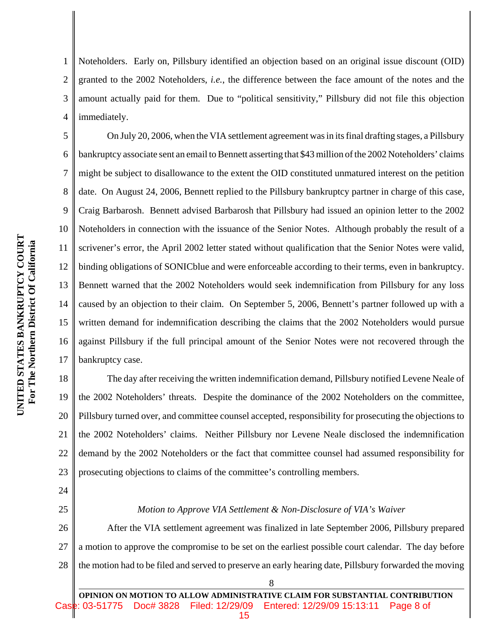Noteholders. Early on, Pillsbury identified an objection based on an original issue discount (OID) granted to the 2002 Noteholders, *i.e.*, the difference between the face amount of the notes and the amount actually paid for them. Due to "political sensitivity," Pillsbury did not file this objection immediately.

5 6 7 8 9 10 12 13 14 15 16 17 On July 20, 2006, when the VIA settlement agreement was in its final drafting stages, a Pillsbury bankruptcy associate sent an email to Bennett asserting that \$43 million of the 2002 Noteholders' claims might be subject to disallowance to the extent the OID constituted unmatured interest on the petition date. On August 24, 2006, Bennett replied to the Pillsbury bankruptcy partner in charge of this case, Craig Barbarosh. Bennett advised Barbarosh that Pillsbury had issued an opinion letter to the 2002 Noteholders in connection with the issuance of the Senior Notes. Although probably the result of a scrivener's error, the April 2002 letter stated without qualification that the Senior Notes were valid, binding obligations of SONICblue and were enforceable according to their terms, even in bankruptcy. Bennett warned that the 2002 Noteholders would seek indemnification from Pillsbury for any loss caused by an objection to their claim. On September 5, 2006, Bennett's partner followed up with a written demand for indemnification describing the claims that the 2002 Noteholders would pursue against Pillsbury if the full principal amount of the Senior Notes were not recovered through the bankruptcy case.

18 19 20 21 22 23 The day after receiving the written indemnification demand, Pillsbury notified Levene Neale of the 2002 Noteholders' threats. Despite the dominance of the 2002 Noteholders on the committee, Pillsbury turned over, and committee counsel accepted, responsibility for prosecuting the objections to the 2002 Noteholders' claims. Neither Pillsbury nor Levene Neale disclosed the indemnification demand by the 2002 Noteholders or the fact that committee counsel had assumed responsibility for prosecuting objections to claims of the committee's controlling members.

24

1

2

3

4

11

# 25

#### *Motion to Approve VIA Settlement & Non-Disclosure of VIA's Waiver*

26 27 28 After the VIA settlement agreement was finalized in late September 2006, Pillsbury prepared a motion to approve the compromise to be set on the earliest possible court calendar. The day before the motion had to be filed and served to preserve an early hearing date, Pillsbury forwarded the moving

8

**OPINION ON MOTION TO ALLOW ADMINISTRATIVE CLAIM FOR SUBSTANTIAL CONTRIBUTION** Doc# 3828 Filed: 12/29/09 Entered: 12/29/09 15:13:11 Page 8 of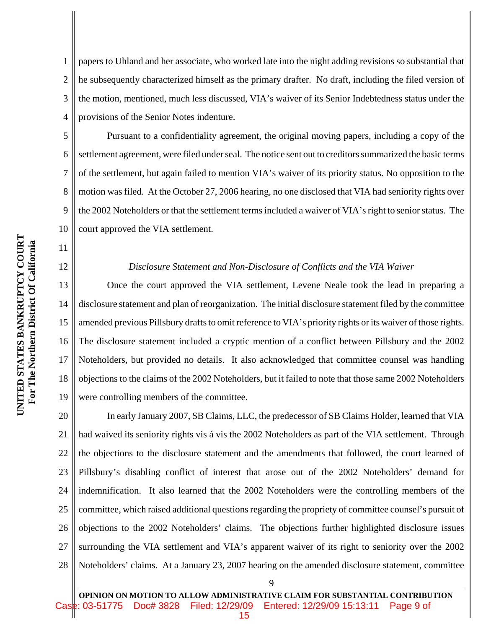1 2 3 4 papers to Uhland and her associate, who worked late into the night adding revisions so substantial that he subsequently characterized himself as the primary drafter. No draft, including the filed version of the motion, mentioned, much less discussed, VIA's waiver of its Senior Indebtedness status under the provisions of the Senior Notes indenture.

Pursuant to a confidentiality agreement, the original moving papers, including a copy of the settlement agreement, were filed under seal. The notice sent out to creditors summarized the basic terms of the settlement, but again failed to mention VIA's waiver of its priority status. No opposition to the motion was filed. At the October 27, 2006 hearing, no one disclosed that VIA had seniority rights over the 2002 Noteholders or that the settlement terms included a waiver of VIA's right to senior status. The court approved the VIA settlement.

#### *Disclosure Statement and Non-Disclosure of Conflicts and the VIA Waiver*

13 14 15 16 17 18 19 Once the court approved the VIA settlement, Levene Neale took the lead in preparing a disclosure statement and plan of reorganization. The initial disclosure statement filed by the committee amended previous Pillsbury drafts to omit reference to VIA's priority rights or its waiver of those rights. The disclosure statement included a cryptic mention of a conflict between Pillsbury and the 2002 Noteholders, but provided no details. It also acknowledged that committee counsel was handling objections to the claims of the 2002 Noteholders, but it failed to note that those same 2002 Noteholders were controlling members of the committee.

20 21 22 23 24 25 26 27 28 In early January 2007, SB Claims, LLC, the predecessor of SB Claims Holder, learned that VIA had waived its seniority rights vis á vis the 2002 Noteholders as part of the VIA settlement. Through the objections to the disclosure statement and the amendments that followed, the court learned of Pillsbury's disabling conflict of interest that arose out of the 2002 Noteholders' demand for indemnification. It also learned that the 2002 Noteholders were the controlling members of the committee, which raised additional questions regarding the propriety of committee counsel's pursuit of objections to the 2002 Noteholders' claims. The objections further highlighted disclosure issues surrounding the VIA settlement and VIA's apparent waiver of its right to seniority over the 2002 Noteholders' claims. At a January 23, 2007 hearing on the amended disclosure statement, committee

9

5

6

7

8

9

10

11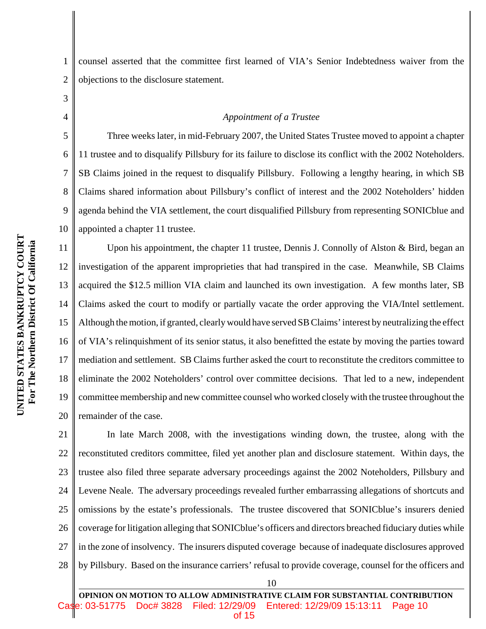1 2 counsel asserted that the committee first learned of VIA's Senior Indebtedness waiver from the objections to the disclosure statement.

4

3

5

6

7

8

9

10

#### *Appointment of a Trustee*

Three weeks later, in mid-February 2007, the United States Trustee moved to appoint a chapter 11 trustee and to disqualify Pillsbury for its failure to disclose its conflict with the 2002 Noteholders. SB Claims joined in the request to disqualify Pillsbury. Following a lengthy hearing, in which SB Claims shared information about Pillsbury's conflict of interest and the 2002 Noteholders' hidden agenda behind the VIA settlement, the court disqualified Pillsbury from representing SONICblue and appointed a chapter 11 trustee.

11 12 13 14 15 16 17 18 19 20 Upon his appointment, the chapter 11 trustee, Dennis J. Connolly of Alston & Bird, began an investigation of the apparent improprieties that had transpired in the case. Meanwhile, SB Claims acquired the \$12.5 million VIA claim and launched its own investigation. A few months later, SB Claims asked the court to modify or partially vacate the order approving the VIA/Intel settlement. Although the motion, if granted, clearly would have served SB Claims' interest by neutralizing the effect of VIA's relinquishment of its senior status, it also benefitted the estate by moving the parties toward mediation and settlement. SB Claims further asked the court to reconstitute the creditors committee to eliminate the 2002 Noteholders' control over committee decisions. That led to a new, independent committee membership and new committee counsel who worked closely with the trustee throughout the remainder of the case.

21 22 23 24 25 26 27 28 In late March 2008, with the investigations winding down, the trustee, along with the reconstituted creditors committee, filed yet another plan and disclosure statement. Within days, the trustee also filed three separate adversary proceedings against the 2002 Noteholders, Pillsbury and Levene Neale. The adversary proceedings revealed further embarrassing allegations of shortcuts and omissions by the estate's professionals. The trustee discovered that SONICblue's insurers denied coverage for litigation alleging that SONICblue's officers and directors breached fiduciary duties while in the zone of insolvency. The insurers disputed coverage because of inadequate disclosures approved by Pillsbury. Based on the insurance carriers' refusal to provide coverage, counsel for the officers and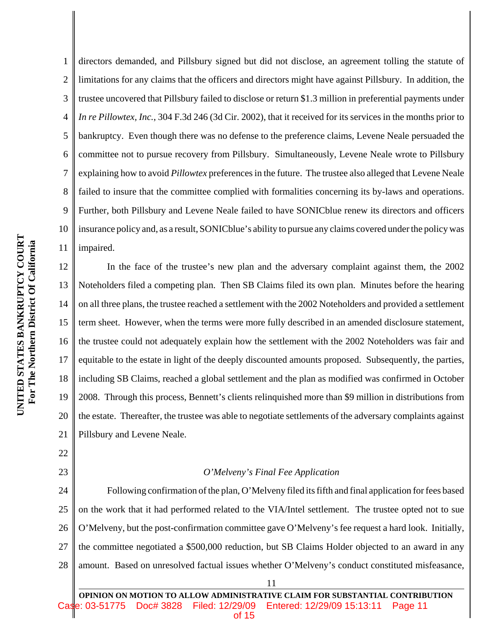5 6 7 8 9 10 UNITED STATES BANKRUPTCY COURT **UNITED STATES BANKRUPTCY COURT** For The Northern District Of California  **For The Northern District Of California** 11 12 13 14 15 16 17 18

1

2

3

4

directors demanded, and Pillsbury signed but did not disclose, an agreement tolling the statute of limitations for any claims that the officers and directors might have against Pillsbury. In addition, the trustee uncovered that Pillsbury failed to disclose or return \$1.3 million in preferential payments under *In re Pillowtex, Inc.*, 304 F.3d 246 (3d Cir. 2002), that it received for its services in the months prior to bankruptcy. Even though there was no defense to the preference claims, Levene Neale persuaded the committee not to pursue recovery from Pillsbury. Simultaneously, Levene Neale wrote to Pillsbury explaining how to avoid *Pillowtex* preferences in the future. The trustee also alleged that Levene Neale failed to insure that the committee complied with formalities concerning its by-laws and operations. Further, both Pillsbury and Levene Neale failed to have SONICblue renew its directors and officers insurance policy and, as a result, SONICblue's ability to pursue any claims covered under the policy was impaired.

19 20 21 In the face of the trustee's new plan and the adversary complaint against them, the 2002 Noteholders filed a competing plan. Then SB Claims filed its own plan. Minutes before the hearing on all three plans, the trustee reached a settlement with the 2002 Noteholders and provided a settlement term sheet. However, when the terms were more fully described in an amended disclosure statement, the trustee could not adequately explain how the settlement with the 2002 Noteholders was fair and equitable to the estate in light of the deeply discounted amounts proposed. Subsequently, the parties, including SB Claims, reached a global settlement and the plan as modified was confirmed in October 2008. Through this process, Bennett's clients relinquished more than \$9 million in distributions from the estate. Thereafter, the trustee was able to negotiate settlements of the adversary complaints against Pillsbury and Levene Neale.

22

# 23

# *O'Melveny's Final Fee Application*

24 25 26 27 28 Following confirmation of the plan, O'Melveny filed its fifth and final application for fees based on the work that it had performed related to the VIA/Intel settlement. The trustee opted not to sue O'Melveny, but the post-confirmation committee gave O'Melveny's fee request a hard look. Initially, the committee negotiated a \$500,000 reduction, but SB Claims Holder objected to an award in any amount. Based on unresolved factual issues whether O'Melveny's conduct constituted misfeasance,

**ON MOTION TO ALLOW ADMINISTRATIVE CLAIM FOR SUBSTANTIAL CONTRIBUTION** Doc# 3828 Filed: 12/29/09 Entered: 12/29/09 15:13:11 Page 11 of 15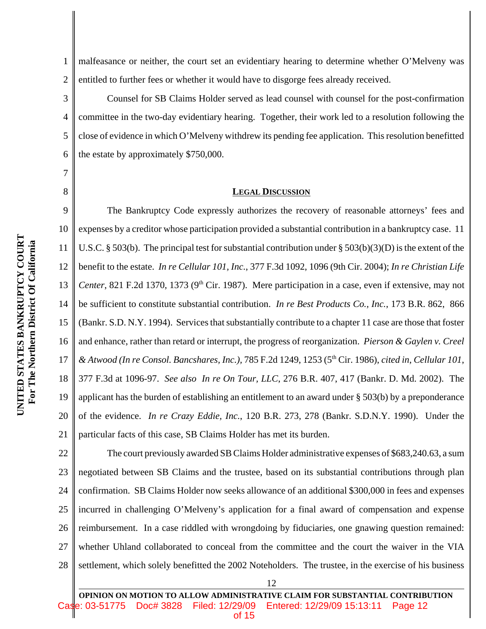3

4

5

7

8

1 2 malfeasance or neither, the court set an evidentiary hearing to determine whether O'Melveny was entitled to further fees or whether it would have to disgorge fees already received.

6 Counsel for SB Claims Holder served as lead counsel with counsel for the post-confirmation committee in the two-day evidentiary hearing. Together, their work led to a resolution following the close of evidence in which O'Melveny withdrew its pending fee application. This resolution benefitted the estate by approximately \$750,000.

#### **LEGAL DISCUSSION**

9 10 11 12 13 14 15 16 17 18 19 20 21 The Bankruptcy Code expressly authorizes the recovery of reasonable attorneys' fees and expenses by a creditor whose participation provided a substantial contribution in a bankruptcy case. 11 U.S.C. § 503(b). The principal test for substantial contribution under § 503(b)(3)(D) is the extent of the benefit to the estate. *In re Cellular 101, Inc.*, 377 F.3d 1092, 1096 (9th Cir. 2004); *In re Christian Life Center*, 821 F.2d 1370, 1373 (9<sup>th</sup> Cir. 1987). Mere participation in a case, even if extensive, may not be sufficient to constitute substantial contribution. *In re Best Products Co., Inc.*, 173 B.R. 862, 866 (Bankr. S.D. N.Y. 1994). Services that substantially contribute to a chapter 11 case are those that foster and enhance, rather than retard or interrupt, the progress of reorganization. *Pierson & Gaylen v. Creel & Atwood (In re Consol. Bancshares, Inc.),* 785 F.2d 1249, 1253 (5th Cir. 1986), *cited in*, *Cellular 101*, 377 F.3d at 1096-97. *See also In re On Tour, LLC*, 276 B.R. 407, 417 (Bankr. D. Md. 2002). The applicant has the burden of establishing an entitlement to an award under § 503(b) by a preponderance of the evidence. *In re Crazy Eddie, Inc.*, 120 B.R. 273, 278 (Bankr. S.D.N.Y. 1990). Under the particular facts of this case, SB Claims Holder has met its burden.

22 23 24 25 26 27 28 The court previously awarded SB Claims Holder administrative expenses of \$683,240.63, a sum negotiated between SB Claims and the trustee, based on its substantial contributions through plan confirmation. SB Claims Holder now seeks allowance of an additional \$300,000 in fees and expenses incurred in challenging O'Melveny's application for a final award of compensation and expense reimbursement. In a case riddled with wrongdoing by fiduciaries, one gnawing question remained: whether Uhland collaborated to conceal from the committee and the court the waiver in the VIA settlement, which solely benefitted the 2002 Noteholders. The trustee, in the exercise of his business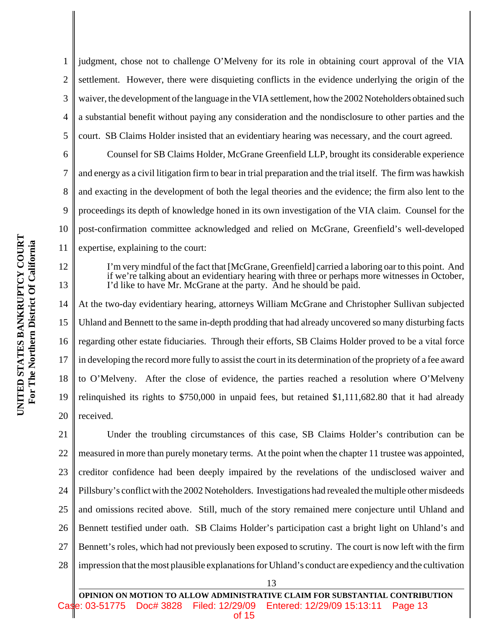1 2 3 4 5 6 judgment, chose not to challenge O'Melveny for its role in obtaining court approval of the VIA settlement. However, there were disquieting conflicts in the evidence underlying the origin of the waiver, the development of the language in the VIA settlement, how the 2002 Noteholders obtained such a substantial benefit without paying any consideration and the nondisclosure to other parties and the court. SB Claims Holder insisted that an evidentiary hearing was necessary, and the court agreed.

Counsel for SB Claims Holder, McGrane Greenfield LLP, brought its considerable experience and energy as a civil litigation firm to bear in trial preparation and the trial itself. The firm was hawkish and exacting in the development of both the legal theories and the evidence; the firm also lent to the proceedings its depth of knowledge honed in its own investigation of the VIA claim. Counsel for the post-confirmation committee acknowledged and relied on McGrane, Greenfield's well-developed expertise, explaining to the court:

I'm very mindful of the fact that [McGrane, Greenfield] carried a laboring oar to this point. And if we're talking about an evidentiary hearing with three or perhaps more witnesses in October, I'd like to have Mr. McGrane at the party. And he should be paid.

14 15 16 17 18 19 20 At the two-day evidentiary hearing, attorneys William McGrane and Christopher Sullivan subjected Uhland and Bennett to the same in-depth prodding that had already uncovered so many disturbing facts regarding other estate fiduciaries. Through their efforts, SB Claims Holder proved to be a vital force in developing the record more fully to assist the court in its determination of the propriety of a fee award to O'Melveny. After the close of evidence, the parties reached a resolution where O'Melveny relinquished its rights to \$750,000 in unpaid fees, but retained \$1,111,682.80 that it had already received.

21 22 23 24 25 26 27 28 Under the troubling circumstances of this case, SB Claims Holder's contribution can be measured in more than purely monetary terms. At the point when the chapter 11 trustee was appointed, creditor confidence had been deeply impaired by the revelations of the undisclosed waiver and Pillsbury's conflict with the 2002 Noteholders. Investigations had revealed the multiple other misdeeds and omissions recited above. Still, much of the story remained mere conjecture until Uhland and Bennett testified under oath.SB Claims Holder's participation cast a bright light on Uhland's and Bennett's roles, which had not previously been exposed to scrutiny. The court is now left with the firm impression that the most plausible explanations for Uhland's conduct are expediency and the cultivation

7

8

9

10

11

12

13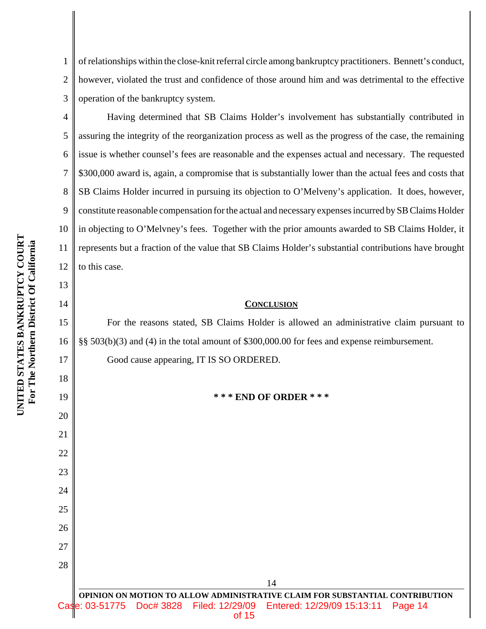1 2 3 of relationships within the close-knit referral circle among bankruptcy practitioners. Bennett's conduct, however, violated the trust and confidence of those around him and was detrimental to the effective operation of the bankruptcy system.

Having determined that SB Claims Holder's involvement has substantially contributed in assuring the integrity of the reorganization process as well as the progress of the case, the remaining issue is whether counsel's fees are reasonable and the expenses actual and necessary. The requested \$300,000 award is, again, a compromise that is substantially lower than the actual fees and costs that SB Claims Holder incurred in pursuing its objection to O'Melveny's application. It does, however, constitute reasonable compensation for the actual and necessary expenses incurred by SB Claims Holder in objecting to O'Melvney's fees. Together with the prior amounts awarded to SB Claims Holder, it represents but a fraction of the value that SB Claims Holder's substantial contributions have brought to this case.

#### **CONCLUSION**

For the reasons stated, SB Claims Holder is allowed an administrative claim pursuant to §§ 503(b)(3) and (4) in the total amount of \$300,000.00 for fees and expense reimbursement.

Good cause appearing, IT IS SO ORDERED.

**\* \* \* END OF ORDER \* \* \***

4

5

6

7

8

9

10

11

12

13

14

15

16

17

18

19

20

21

22

23

24

25

26

27

28